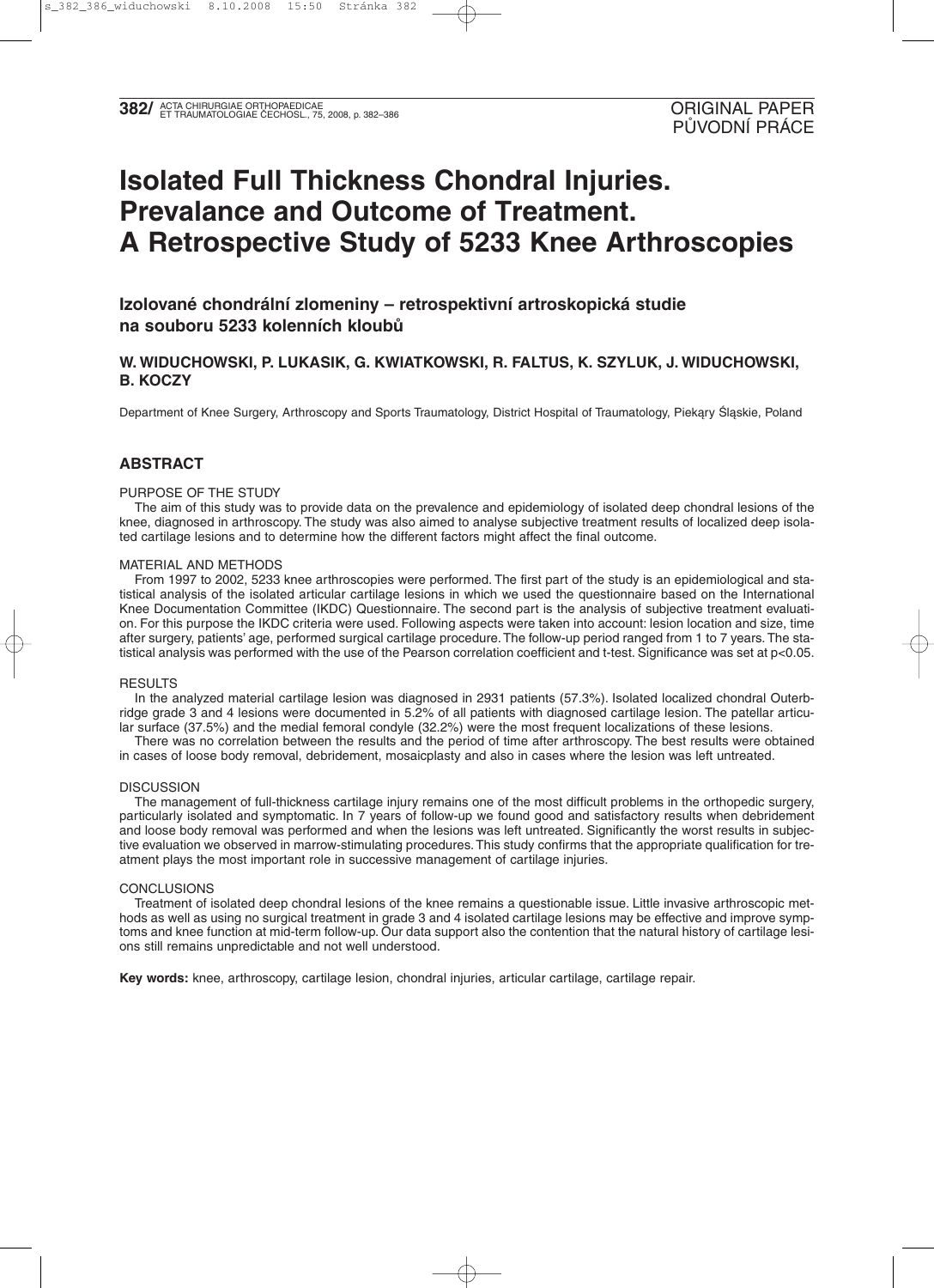# **Isolated Full Thickness Chondral Injuries. Prevalance and Outcome of Treatment. A Retrospective Study of 5233 Knee Arthroscopies**

**Izolované chondrální zlomeniny – retrospektivní artroskopická studie na souboru 5233 kolenních kloubů**

# **W. WIDUCHOWSKI, P. LUKASIK, G. KWIATKOWSKI, R. FALTUS, K. SZYLUK, J. WIDUCHOWSKI, B. KOCZY**

Department of Knee Surgery, Arthroscopy and Sports Traumatology, District Hospital of Traumatology, Piekąry Śląskie, Poland

## **ABSTRACT**

## PURPOSE OF THE STUDY

The aim of this study was to provide data on the prevalence and epidemiology of isolated deep chondral lesions of the knee, diagnosed in arthroscopy. The study was also aimed to analyse subjective treatment results of localized deep isolated cartilage lesions and to determine how the different factors might affect the final outcome.

## MATERIAL AND METHODS

From 1997 to 2002, 5233 knee arthroscopies were performed. The first part of the study is an epidemiological and statistical analysis of the isolated articular cartilage lesions in which we used the questionnaire based on the International Knee Documentation Committee (IKDC) Questionnaire. The second part is the analysis of subjective treatment evaluation. For this purpose the IKDC criteria were used. Following aspects were taken into account: lesion location and size, time after surgery, patients' age, performed surgical cartilage procedure. The follow-up period ranged from 1 to 7 years. The statistical analysis was performed with the use of the Pearson correlation coefficient and t-test. Significance was set at p<0.05.

#### **RESULTS**

In the analyzed material cartilage lesion was diagnosed in 2931 patients (57.3%). Isolated localized chondral Outerbridge grade 3 and 4 lesions were documented in 5.2% of all patients with diagnosed cartilage lesion. The patellar articular surface (37.5%) and the medial femoral condyle (32.2%) were the most frequent localizations of these lesions.

There was no correlation between the results and the period of time after arthroscopy. The best results were obtained in cases of loose body removal, debridement, mosaicplasty and also in cases where the lesion was left untreated.

#### **DISCUSSION**

The management of full-thickness cartilage injury remains one of the most difficult problems in the orthopedic surgery, particularly isolated and symptomatic. In 7 years of follow-up we found good and satisfactory results when debridement and loose body removal was performed and when the lesions was left untreated. Significantly the worst results in subjective evaluation we observed in marrow-stimulating procedures. This study confirms that the appropriate qualification for treatment plays the most important role in successive management of cartilage injuries.

#### CONCLUSIONS

Treatment of isolated deep chondral lesions of the knee remains a questionable issue. Little invasive arthroscopic methods as well as using no surgical treatment in grade 3 and 4 isolated cartilage lesions may be effective and improve symptoms and knee function at mid-term follow-up. Our data support also the contention that the natural history of cartilage lesions still remains unpredictable and not well understood.

**Key words:** knee, arthroscopy, cartilage lesion, chondral injuries, articular cartilage, cartilage repair.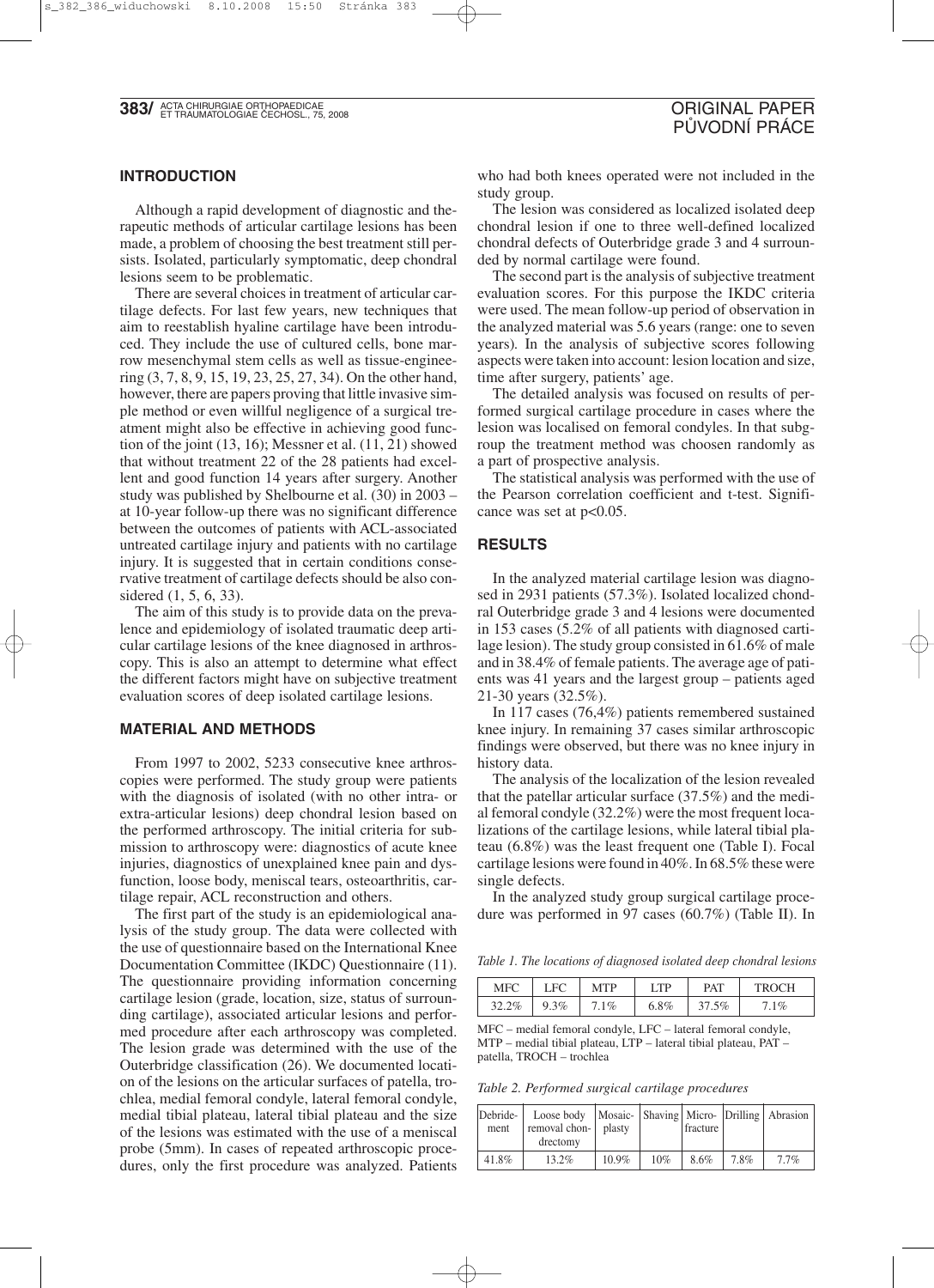## **INTRODUCTION**

Although a rapid development of diagnostic and therapeutic methods of articular cartilage lesions has been made, a problem of choosing the best treatment still persists. Isolated, particularly symptomatic, deep chondral lesions seem to be problematic.

There are several choices in treatment of articular cartilage defects. For last few years, new techniques that aim to reestablish hyaline cartilage have been introduced. They include the use of cultured cells, bone marrow mesenchymal stem cells as well as tissue-engineering (3, 7, 8, 9, 15, 19, 23, 25, 27, 34). On the other hand, however, there are papers proving that little invasive simple method or even willful negligence of a surgical treatment might also be effective in achieving good function of the joint (13, 16); Messner et al. (11, 21) showed that without treatment 22 of the 28 patients had excellent and good function 14 years after surgery. Another study was published by Shelbourne et al. (30) in 2003 – at 10-year follow-up there was no significant difference between the outcomes of patients with ACL-associated untreated cartilage injury and patients with no cartilage injury. It is suggested that in certain conditions conservative treatment of cartilage defects should be also considered (1, 5, 6, 33).

The aim of this study is to provide data on the prevalence and epidemiology of isolated traumatic deep articular cartilage lesions of the knee diagnosed in arthroscopy. This is also an attempt to determine what effect the different factors might have on subjective treatment evaluation scores of deep isolated cartilage lesions.

## **MATERIAL AND METHODS**

From 1997 to 2002, 5233 consecutive knee arthroscopies were performed. The study group were patients with the diagnosis of isolated (with no other intra- or extra-articular lesions) deep chondral lesion based on the performed arthroscopy. The initial criteria for submission to arthroscopy were: diagnostics of acute knee injuries, diagnostics of unexplained knee pain and dysfunction, loose body, meniscal tears, osteoarthritis, cartilage repair, ACL reconstruction and others.

The first part of the study is an epidemiological analysis of the study group. The data were collected with the use of questionnaire based on the International Knee Documentation Committee (IKDC) Questionnaire (11). The questionnaire providing information concerning cartilage lesion (grade, location, size, status of surrounding cartilage), associated articular lesions and performed procedure after each arthroscopy was completed. The lesion grade was determined with the use of the Outerbridge classification (26). We documented location of the lesions on the articular surfaces of patella, trochlea, medial femoral condyle, lateral femoral condyle, medial tibial plateau, lateral tibial plateau and the size of the lesions was estimated with the use of a meniscal probe (5mm). In cases of repeated arthroscopic procedures, only the first procedure was analyzed. Patients

who had both knees operated were not included in the study group.

The lesion was considered as localized isolated deep chondral lesion if one to three well-defined localized chondral defects of Outerbridge grade 3 and 4 surrounded by normal cartilage were found.

The second part is the analysis of subjective treatment evaluation scores. For this purpose the IKDC criteria were used. The mean follow-up period of observation in the analyzed material was 5.6 years (range: one to seven years)*.* In the analysis of subjective scores following aspects were taken into account: lesion location and size, time after surgery, patients' age.

The detailed analysis was focused on results of performed surgical cartilage procedure in cases where the lesion was localised on femoral condyles. In that subgroup the treatment method was choosen randomly as a part of prospective analysis.

The statistical analysis was performed with the use of the Pearson correlation coefficient and t-test. Significance was set at  $p<0.05$ .

## **RESULTS**

In the analyzed material cartilage lesion was diagnosed in 2931 patients (57.3%). Isolated localized chondral Outerbridge grade 3 and 4 lesions were documented in 153 cases (5.2% of all patients with diagnosed cartilage lesion). The study group consisted in 61.6% of male and in 38.4% of female patients. The average age of patients was 41 years and the largest group – patients aged 21-30 years (32.5%).

In 117 cases (76,4%) patients remembered sustained knee injury. In remaining 37 cases similar arthroscopic findings were observed, but there was no knee injury in history data.

The analysis of the localization of the lesion revealed that the patellar articular surface (37.5%) and the medial femoral condyle (32.2%) were the most frequent localizations of the cartilage lesions, while lateral tibial plateau (6.8%) was the least frequent one (Table I). Focal cartilage lesions were found in 40%. In 68.5% these were single defects.

In the analyzed study group surgical cartilage procedure was performed in 97 cases (60.7%) (Table II). In

*Table 1. The locations of diagnosed isolated deep chondral lesions*

| <b>MFC</b> | FC   | MTP    | TP.  | PAT   | TROCH |
|------------|------|--------|------|-------|-------|
| 32.2%      | 9.3% | $.1\%$ | 6.8% | 37.5% | $1\%$ |

MFC – medial femoral condyle, LFC – lateral femoral condyle, MTP – medial tibial plateau, LTP – lateral tibial plateau, PAT – patella, TROCH – trochlea

*Table 2. Performed surgical cartilage procedures*

| Debride-<br>ment | Loose body   Mosaic-   Shaving   Micro-   Drilling   Abrasion<br>removal chon-<br>drectomy | plasty   |     | fracture |      |         |
|------------------|--------------------------------------------------------------------------------------------|----------|-----|----------|------|---------|
| 41.8%            | $13.2\%$                                                                                   | $10.9\%$ | 10% | 8.6%     | 7.8% | $7.7\%$ |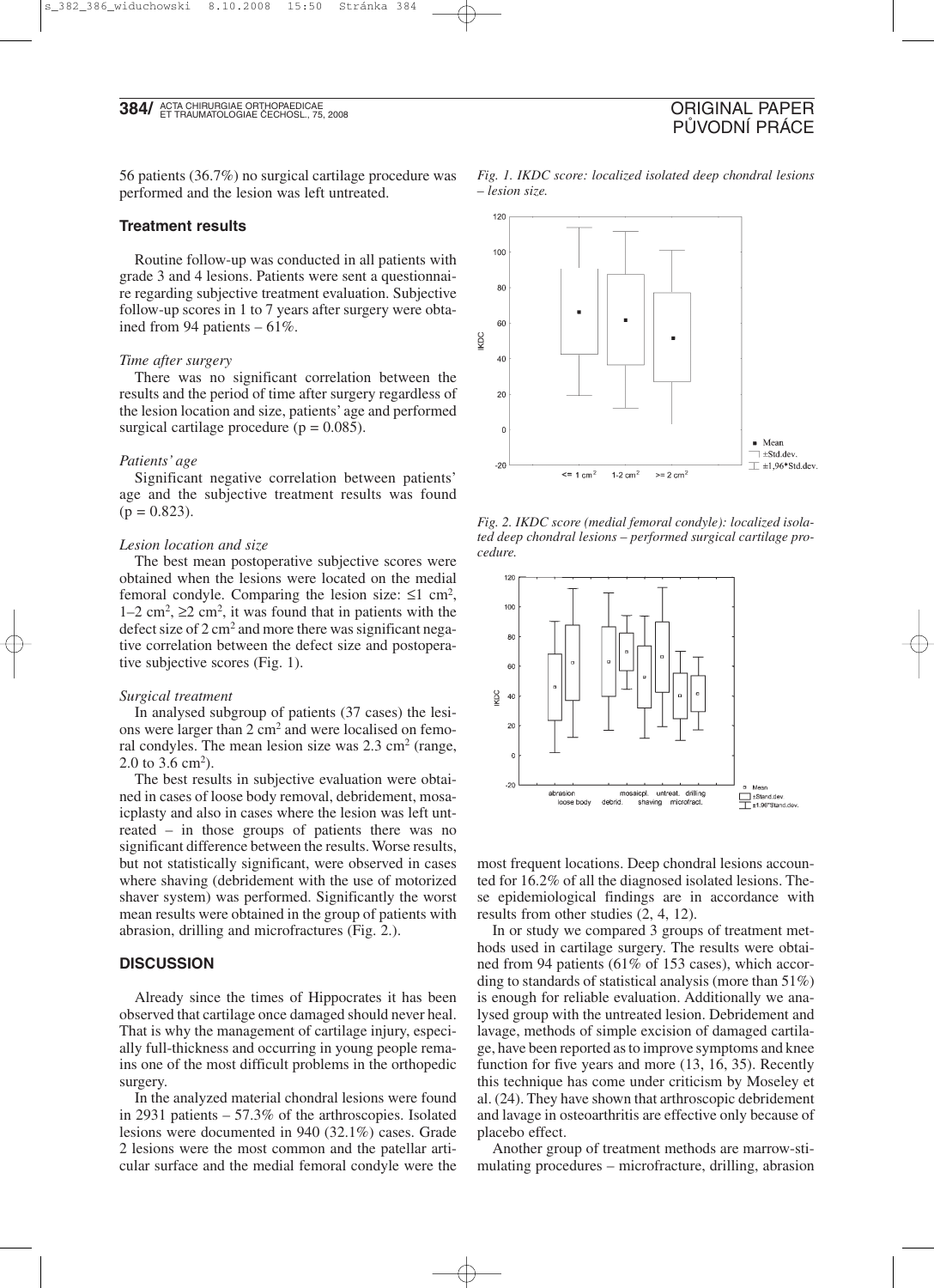56 patients (36.7%) no surgical cartilage procedure was performed and the lesion was left untreated.

## **Treatment results**

Routine follow-up was conducted in all patients with grade 3 and 4 lesions. Patients were sent a questionnaire regarding subjective treatment evaluation. Subjective follow-up scores in 1 to 7 years after surgery were obtained from 94 patients – 61%.

#### *Time after surgery*

There was no significant correlation between the results and the period of time after surgery regardless of the lesion location and size, patients' age and performed surgical cartilage procedure ( $p = 0.085$ ).

## *Patients' age*

Significant negative correlation between patients' age and the subjective treatment results was found  $(p = 0.823)$ .

#### *Lesion location and size*

The best mean postoperative subjective scores were obtained when the lesions were located on the medial femoral condyle. Comparing the lesion size:  $\leq 1$  cm<sup>2</sup>,  $1-2$  cm<sup>2</sup>,  $\geq$  cm<sup>2</sup>, it was found that in patients with the defect size of 2 cm<sup>2</sup> and more there was significant negative correlation between the defect size and postoperative subjective scores (Fig. 1).

#### *Surgical treatment*

In analysed subgroup of patients (37 cases) the lesions were larger than 2 cm<sup>2</sup> and were localised on femoral condyles. The mean lesion size was 2.3 cm<sup>2</sup> (range, 2.0 to 3.6 cm<sup>2</sup>).

The best results in subjective evaluation were obtained in cases of loose body removal, debridement, mosaicplasty and also in cases where the lesion was left untreated – in those groups of patients there was no significant difference between the results. Worse results, but not statistically significant, were observed in cases where shaving (debridement with the use of motorized shaver system) was performed. Significantly the worst mean results were obtained in the group of patients with abrasion, drilling and microfractures (Fig. 2.).

## **DISCUSSION**

Already since the times of Hippocrates it has been observed that cartilage once damaged should never heal. That is why the management of cartilage injury, especially full-thickness and occurring in young people remains one of the most difficult problems in the orthopedic surgery.

In the analyzed material chondral lesions were found in 2931 patients – 57.3% of the arthroscopies. Isolated lesions were documented in 940 (32.1%) cases. Grade 2 lesions were the most common and the patellar articular surface and the medial femoral condyle were the

*Fig. 1. IKDC score: localized isolated deep chondral lesions – lesion size.*



*Fig. 2. IKDC score (medial femoral condyle): localized isolated deep chondral lesions – performed surgical cartilage procedure.*



most frequent locations. Deep chondral lesions accounted for 16.2% of all the diagnosed isolated lesions. These epidemiological findings are in accordance with results from other studies (2, 4, 12).

In or study we compared 3 groups of treatment methods used in cartilage surgery. The results were obtained from 94 patients (61% of 153 cases), which according to standards of statistical analysis (more than 51%) is enough for reliable evaluation. Additionally we analysed group with the untreated lesion. Debridement and lavage, methods of simple excision of damaged cartilage, have been reported as to improve symptoms and knee function for five years and more (13, 16, 35). Recently this technique has come under criticism by Moseley et al. (24). They have shown that arthroscopic debridement and lavage in osteoarthritis are effective only because of placebo effect.

Another group of treatment methods are marrow-stimulating procedures – microfracture, drilling, abrasion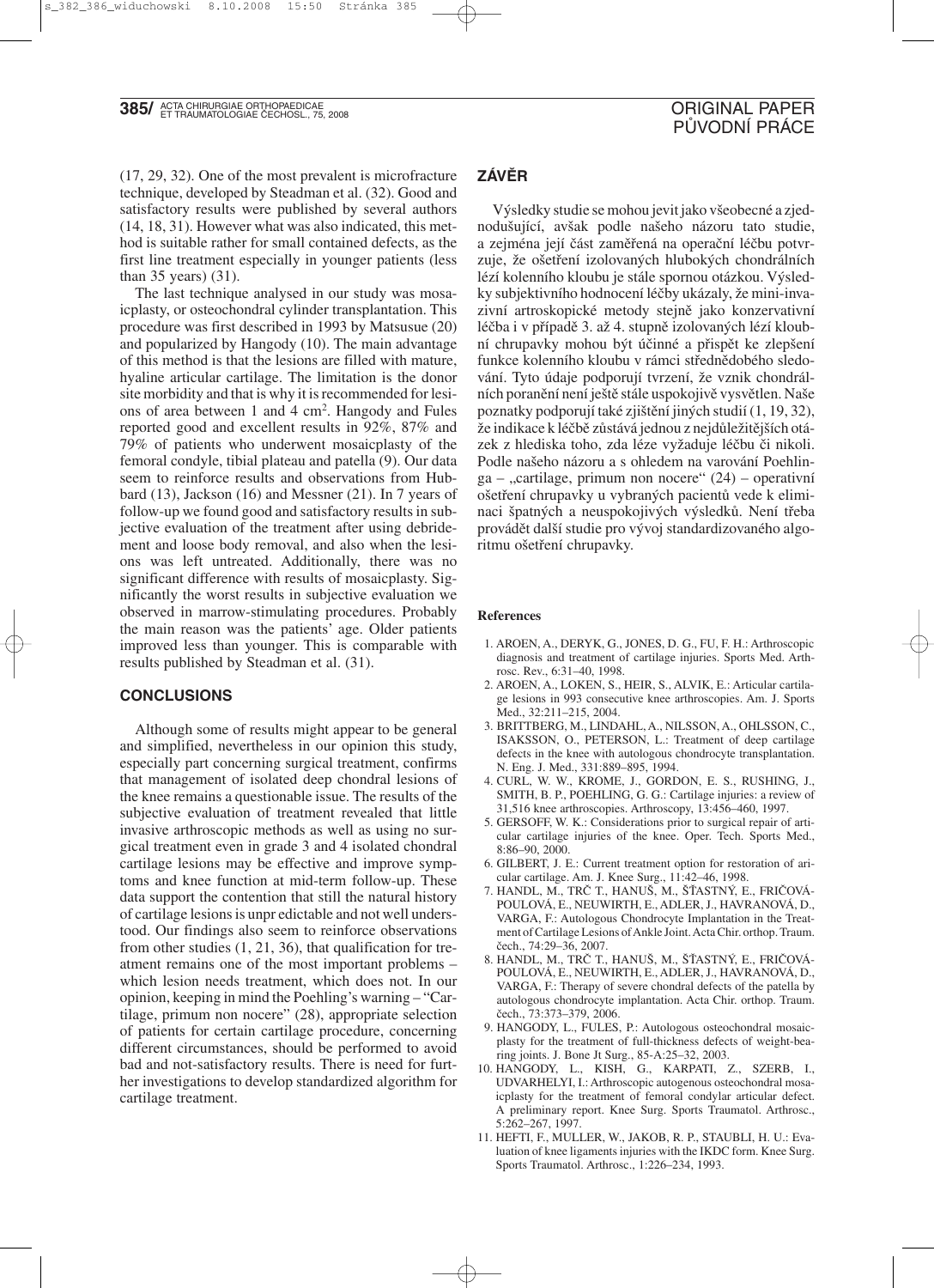(17, 29, 32). One of the most prevalent is microfracture technique, developed by Steadman et al. (32). Good and satisfactory results were published by several authors (14, 18, 31). However what was also indicated, this method is suitable rather for small contained defects, as the first line treatment especially in younger patients (less than 35 years) (31).

The last technique analysed in our study was mosaicplasty, or osteochondral cylinder transplantation. This procedure was first described in 1993 by Matsusue (20) and popularized by Hangody (10). The main advantage of this method is that the lesions are filled with mature, hyaline articular cartilage. The limitation is the donor site morbidity and that is why it is recommended for lesions of area between 1 and 4 cm<sup>2</sup>. Hangody and Fules reported good and excellent results in 92%, 87% and 79% of patients who underwent mosaicplasty of the femoral condyle, tibial plateau and patella (9). Our data seem to reinforce results and observations from Hubbard (13), Jackson (16) and Messner (21). In 7 years of follow-up we found good and satisfactory results in subjective evaluation of the treatment after using debridement and loose body removal, and also when the lesions was left untreated. Additionally, there was no significant difference with results of mosaicplasty. Significantly the worst results in subjective evaluation we observed in marrow-stimulating procedures. Probably the main reason was the patients' age. Older patients improved less than younger. This is comparable with results published by Steadman et al. (31).

# **CONCLUSIONS**

Although some of results might appear to be general and simplified, nevertheless in our opinion this study, especially part concerning surgical treatment, confirms that management of isolated deep chondral lesions of the knee remains a questionable issue. The results of the subjective evaluation of treatment revealed that little invasive arthroscopic methods as well as using no surgical treatment even in grade 3 and 4 isolated chondral cartilage lesions may be effective and improve symptoms and knee function at mid-term follow-up. These data support the contention that still the natural history of cartilage lesions is unpr edictable and not well understood. Our findings also seem to reinforce observations from other studies (1, 21, 36), that qualification for treatment remains one of the most important problems – which lesion needs treatment, which does not. In our opinion, keeping in mind the Poehling's warning – "Cartilage, primum non nocere" (28), appropriate selection of patients for certain cartilage procedure, concerning different circumstances, should be performed to avoid bad and not-satisfactory results. There is need for further investigations to develop standardized algorithm for cartilage treatment.

# **ZÁVĚR**

Výsledky studie se mohou jevit jako všeobecné a zjednodušující, avšak podle našeho názoru tato studie, a zejména její část zaměřená na operační léčbu potvrzuje, že ošetření izolovaných hlubokých chondrálních lézí kolenního kloubu je stále spornou otázkou. Výsledky subjektivního hodnocení léčby ukázaly, že mini-invazivní artroskopické metody stejně jako konzervativní léčba i v případě 3. až 4. stupně izolovaných lézí kloubní chrupavky mohou být účinné a přispět ke zlepšení funkce kolenního kloubu v rámci střednědobého sledování. Tyto údaje podporují tvrzení, že vznik chondrálních poranění není ještě stále uspokojivě vysvětlen. Naše poznatky podporují také zjištění jiných studií (1, 19, 32), že indikace k léčbě zůstává jednou z nejdůležitějších otázek z hlediska toho, zda léze vyžaduje léčbu či nikoli. Podle našeho názoru a s ohledem na varování Poehlin $ga -$ , cartilage, primum non nocere" (24) – operativní ošetření chrupavky u vybraných pacientů vede k eliminaci špatných a neuspokojivých výsledků. Není třeba provádět další studie pro vývoj standardizovaného algoritmu ošetření chrupavky.

## **References**

- 1. AROEN, A., DERYK, G., JONES, D. G., FU, F. H.: Arthroscopic diagnosis and treatment of cartilage injuries. Sports Med. Arthrosc. Rev., 6:31–40, 1998.
- 2. AROEN, A., LOKEN, S., HEIR, S., ALVIK, E.: Articular cartilage lesions in 993 consecutive knee arthroscopies. Am. J. Sports Med., 32:211–215, 2004.
- 3. BRITTBERG, M., LINDAHL, A., NILSSON, A., OHLSSON, C., ISAKSSON, O., PETERSON, L.: Treatment of deep cartilage defects in the knee with autologous chondrocyte transplantation. N. Eng. J. Med., 331:889–895, 1994.
- 4. CURL, W. W., KROME, J., GORDON, E. S., RUSHING, J., SMITH, B. P., POEHLING, G. G.: Cartilage injuries: a review of 31,516 knee arthroscopies. Arthroscopy, 13:456–460, 1997.
- 5. GERSOFF, W. K.: Considerations prior to surgical repair of articular cartilage injuries of the knee. Oper. Tech. Sports Med., 8:86–90, 2000.
- 6. GILBERT, J. E.: Current treatment option for restoration of aricular cartilage. Am. J. Knee Surg., 11:42–46, 1998.
- 7. HANDL, M., TRČ T., HANUŠ, M., ŠŤASTNÝ, E., FRIČOVÁ-POULOVÁ, E., NEUWIRTH, E., ADLER, J., HAVRANOVÁ, D., VARGA, F.: Autologous Chondrocyte Implantation in the Treatment of Cartilage Lesions of Ankle Joint. Acta Chir. orthop. Traum. čech., 74:29–36, 2007.
- 8. HANDL, M., TRČ T., HANUŠ, M., ŠŤASTNÝ, E., FRIČOVÁ-POULOVÁ, E., NEUWIRTH, E., ADLER, J., HAVRANOVÁ, D., VARGA, F.: Therapy of severe chondral defects of the patella by autologous chondrocyte implantation. Acta Chir. orthop. Traum. čech., 73:373–379, 2006.
- 9. HANGODY, L., FULES, P.: Autologous osteochondral mosaicplasty for the treatment of full-thickness defects of weight-bearing joints. J. Bone Jt Surg., 85-A:25–32, 2003.
- 10. HANGODY, L., KISH, G., KARPATI, Z., SZERB, I., UDVARHELYI, I.: Arthroscopic autogenous osteochondral mosaicplasty for the treatment of femoral condylar articular defect. A preliminary report. Knee Surg. Sports Traumatol. Arthrosc., 5:262–267, 1997.
- 11. HEFTI, F., MULLER, W., JAKOB, R. P., STAUBLI, H. U.: Evaluation of knee ligaments injuries with the IKDC form. Knee Surg. Sports Traumatol. Arthrosc., 1:226–234, 1993.